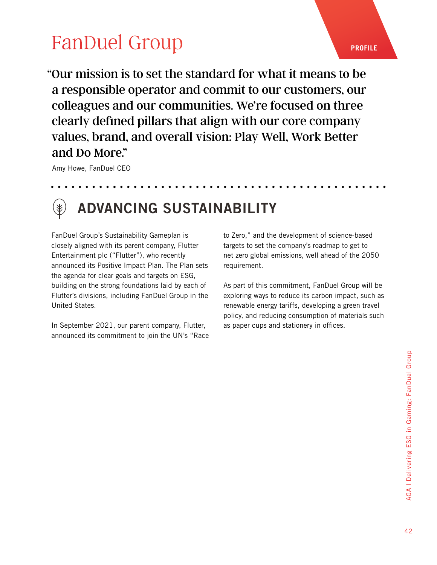# **[FanDuel Group](https://www.flutter.com/sustainability/)** PROFILE

"Our mission is to set the standard for what it means to be a responsible operator and commit to our customers, our colleagues and our communities. We're focused on three clearly defined pillars that align with our core company values, brand, and overall vision: Play Well, Work Better and Do More."

Amy Howe, FanDuel CEO



#### ADVANCING SUSTAINABILITY

FanDuel Group's Sustainability Gameplan is closely aligned with its parent company, Flutter Entertainment plc ("Flutter"), who recently announced its Positive Impact Plan. The Plan sets the agenda for clear goals and targets on ESG, building on the strong foundations laid by each of Flutter's divisions, including FanDuel Group in the United States.

In September 2021, our parent company, Flutter, announced its commitment to join the UN's "Race to Zero," and the development of science-based targets to set the company's roadmap to get to net zero global emissions, well ahead of the 2050 requirement.

As part of this commitment, FanDuel Group will be exploring ways to reduce its carbon impact, such as renewable energy tariffs, developing a green travel policy, and reducing consumption of materials such as paper cups and stationery in offices.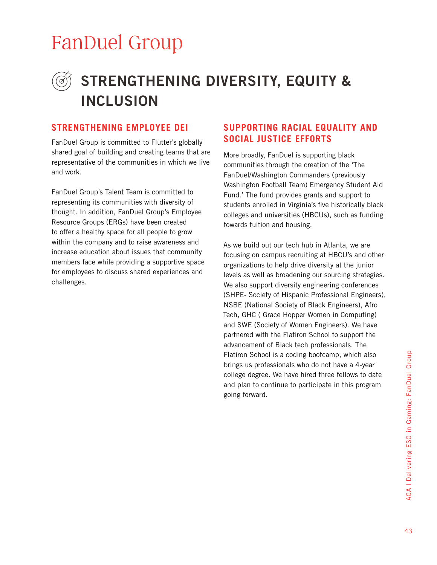### [FanDuel Group](https://www.flutter.com/sustainability/)

### STRENGTHENING DIVERSITY, EQUITY & INCLUSION

FanDuel Group is committed to Flutter's globally shared goal of building and creating teams that are representative of the communities in which we live and work.

FanDuel Group's Talent Team is committed to representing its communities with diversity of thought. In addition, FanDuel Group's Employee Resource Groups (ERGs) have been created to offer a healthy space for all people to grow within the company and to raise awareness and increase education about issues that community members face while providing a supportive space for employees to discuss shared experiences and challenges.

#### **STRENGTHENING EMPLOYEE DEI SUPPORTING RACIAL EQUALITY AND SOCIAL JUSTICE EFFORTS**

More broadly, FanDuel is supporting black communities through the creation of the 'The FanDuel/Washington Commanders (previously Washington Football Team) Emergency Student Aid Fund.' The fund provides grants and support to students enrolled in Virginia's five historically black colleges and universities (HBCUs), such as funding towards tuition and housing.

As we build out our tech hub in Atlanta, we are focusing on campus recruiting at HBCU's and other organizations to help drive diversity at the junior levels as well as broadening our sourcing strategies. We also support diversity engineering conferences (SHPE- Society of Hispanic Professional Engineers), NSBE (National Society of Black Engineers), Afro Tech, GHC ( Grace Hopper Women in Computing) and SWE (Society of Women Engineers). We have partnered with the Flatiron School to support the advancement of Black tech professionals. The Flatiron School is a coding bootcamp, which also brings us professionals who do not have a 4-year college degree. We have hired three fellows to date and plan to continue to participate in this program going forward.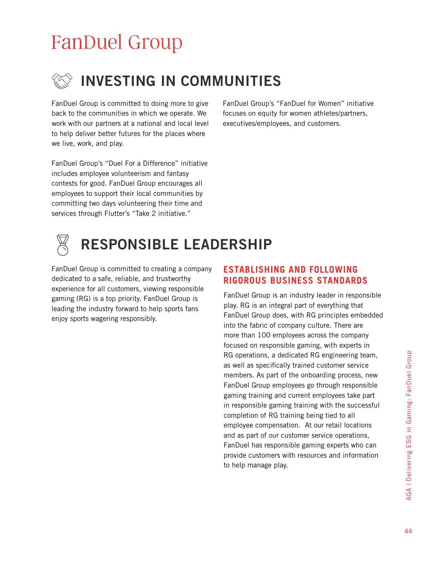# [FanDuel Group](https://www.flutter.com/sustainability/)



FanDuel Group is committed to doing more to give back to the communities in which we operate. We work with our partners at a national and local level to help deliver better futures for the places where we live, work, and play.

FanDuel Group's "Duel For a Difference" initiative includes employee volunteerism and fantasy contests for good. FanDuel Group encourages all employees to support their local communities by committing two days volunteering their time and services through Flutter's "Take 2 initiative."

FanDuel Group's "FanDuel for Women" initiative focuses on equity for women athletes/partners, executives/employees, and customers.



### RESPONSIBLE LEADERSHIP

FanDuel Group is committed to creating a company dedicated to a safe, reliable, and trustworthy experience for all customers, viewing responsible gaming (RG) is a top priority. FanDuel Group is leading the industry forward to help sports fans enjoy sports wagering responsibly.

#### **ESTABLISHING AND FOLLOWING RIGOROUS BUSINESS STANDARDS**

FanDuel Group is an industry leader in responsible play. RG is an integral part of everything that FanDuel Group does, with RG principles embedded into the fabric of company culture. There are more than 100 employees across the company focused on responsible gaming, with experts in RG operations, a dedicated RG engineering team, as well as specifically trained customer service members. As part of the onboarding process, new FanDuel Group employees go through responsible gaming training and current employees take part in responsible gaming training with the successful completion of RG training being tied to all employee compensation. At our retail locations and as part of our customer service operations, FanDuel has responsible gaming experts who can provide customers with resources and information to help manage play.